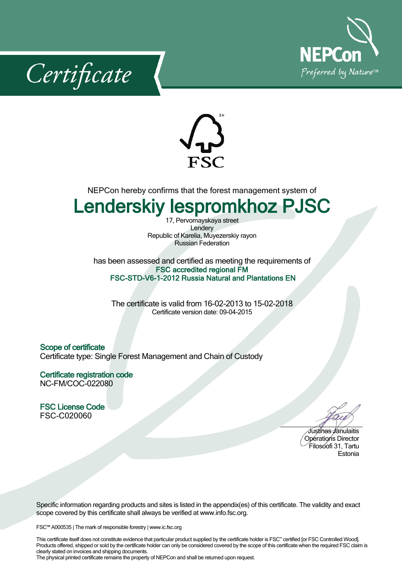





NEPCon hereby confirms that the forest management system of

## **Lenderskiy lespromkhoz PJSC**

17, Pervomayskaya street Lendery Republic of Karelia, Muyezerskiy rayon Russian Federation

has been assessed and certified as meeting the requirements of **FSC accredited regional FM FSC-STD-V6-1-2012 Russia Natural and Plantations EN**

The certificate is valid from 16-02-2013 to 15-02-2018 Certificate version date: 09-04-2015

**Scope of certificate** Certificate type: Single Forest Management and Chain of Custody

**Certificate registration code** NC-FM/COC-022080

**FSC License Code** FSC-C020060

Justinas Janulaitis Operations Director Filosoofi31, Tartu Estonia

Specific information regarding products and sites is listed in the appendix(es) of this certificate. The validity and exact scope covered by this certificate shall always be verified at www.info.fsc.org.

FSC™ A000535 | The mark of responsible forestry | www.ic.fsc.org

This certificate itself does not constitute evidence that particular product supplied by the certificate holder is FSC™ certified [or FSC Controlled Wood]. Products offered, shipped or sold by the certificate holder can only be considered covered by the scope of this certificate when the required FSC claim is clearly stated on invoices and shipping documents. The physical printed certificate remains the property of NEPCon and shall be returned upon request.